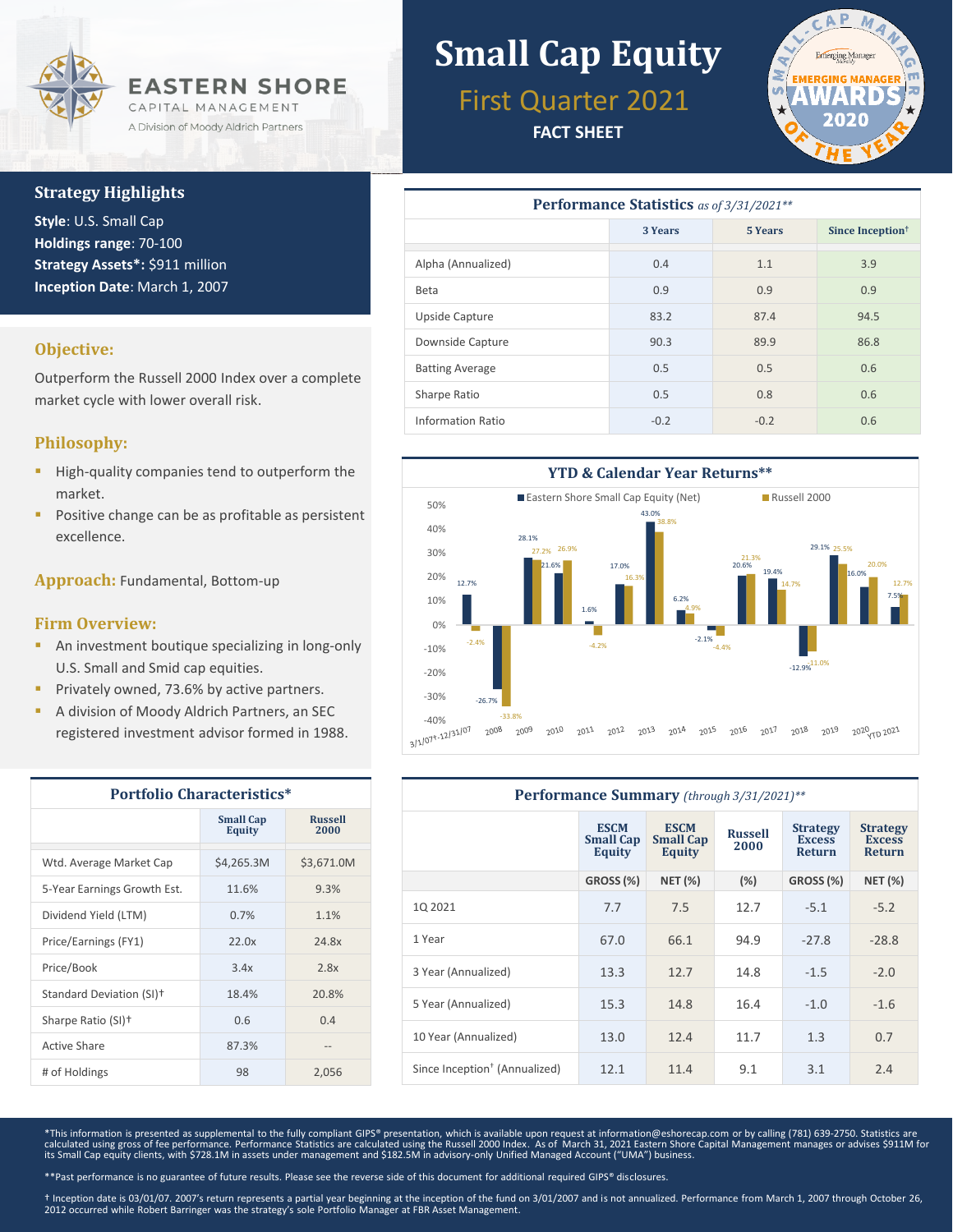

# **Strategy Highlights**

**Style**: U.S. Small Cap **Holdings range**: 70-100 **Strategy Assets\*:** \$911 million **Inception Date**: March 1, 2007

### **Objective:**

Outperform the Russell 2000 Index over a complete market cycle with lower overall risk.

# **Philosophy:**

- High-quality companies tend to outperform the market.
- Positive change can be as profitable as persistent excellence.

**Approach:** Fundamental, Bottom-up

### **Firm Overview:**

- **An investment boutique specializing in long-only** U.S. Small and Smid cap equities.
- Privately owned, 73.6% by active partners.
- A division of Moody Aldrich Partners, an SEC registered investment advisor formed in 1988.

| <b>Portfolio Characteristics*</b> |                                   |                        |  |  |
|-----------------------------------|-----------------------------------|------------------------|--|--|
|                                   | <b>Small Cap</b><br><b>Equity</b> | <b>Russell</b><br>2000 |  |  |
| Wtd. Average Market Cap           | \$4,265.3M                        | \$3,671.0M             |  |  |
| 5-Year Earnings Growth Est.       | 11.6%                             | 9.3%                   |  |  |
| Dividend Yield (LTM)              | 0.7%                              | 1.1%                   |  |  |
| Price/Earnings (FY1)              | 22.0x                             | 24.8x                  |  |  |
| Price/Book                        | 3.4x                              | 2.8x                   |  |  |
| Standard Deviation (SI)+          | 18.4%                             | 20.8%                  |  |  |
| Sharpe Ratio (SI) <sup>+</sup>    | 0.6                               | 0.4                    |  |  |
| Active Share                      | 87.3%                             |                        |  |  |
| # of Holdings                     | 98                                | 2,056                  |  |  |

# **Small Cap Equity**

First Quarter 2021

**FACT SHEET**



| Performance Statistics as of 3/31/2021** |         |                |                              |  |  |  |
|------------------------------------------|---------|----------------|------------------------------|--|--|--|
|                                          | 3 Years | <b>5 Years</b> | Since Inception <sup>†</sup> |  |  |  |
| Alpha (Annualized)                       | 0.4     | 1.1            | 3.9                          |  |  |  |
| Beta                                     | 0.9     | 0.9            | 0.9                          |  |  |  |
| Upside Capture                           | 83.2    | 87.4           | 94.5                         |  |  |  |
| Downside Capture                         | 90.3    | 89.9           | 86.8                         |  |  |  |
| <b>Batting Average</b>                   | 0.5     | 0.5            | 0.6                          |  |  |  |
| Sharpe Ratio                             | 0.5     | 0.8            | 0.6                          |  |  |  |
| Information Ratio                        | $-0.2$  | $-0.2$         | 0.6                          |  |  |  |



| Performance Summary (through 3/31/2021)** |                                                  |                                           |                        |                                            |                                            |  |
|-------------------------------------------|--------------------------------------------------|-------------------------------------------|------------------------|--------------------------------------------|--------------------------------------------|--|
|                                           | <b>ESCM</b><br><b>Small Cap</b><br><b>Equity</b> | <b>ESCM</b><br><b>Small Cap</b><br>Equity | <b>Russell</b><br>2000 | <b>Strategy</b><br><b>Excess</b><br>Return | <b>Strategy</b><br><b>Excess</b><br>Return |  |
|                                           | <b>GROSS (%)</b>                                 | <b>NET (%)</b>                            | (%)                    | GROSS (%)                                  | <b>NET (%)</b>                             |  |
| 10 20 21                                  | 7.7                                              | 7.5                                       | 12.7                   | $-5.1$                                     | $-5.2$                                     |  |
| 1 Year                                    | 67.0                                             | 66.1                                      | 94.9                   | $-27.8$                                    | $-28.8$                                    |  |
| 3 Year (Annualized)                       | 13.3                                             | 12.7                                      | 14.8                   | $-1.5$                                     | $-2.0$                                     |  |
| 5 Year (Annualized)                       | 15.3                                             | 14.8                                      | 16.4                   | $-1.0$                                     | $-1.6$                                     |  |
| 10 Year (Annualized)                      | 13.0                                             | 12.4                                      | 11.7                   | 1.3                                        | 0.7                                        |  |
| Since Inception <sup>†</sup> (Annualized) | 12.1                                             | 11.4                                      | 9.1                    | 3.1                                        | 2.4                                        |  |

\*This information is presented as supplemental to the fully compliant GIPS® presentation, which is available upon request at information@eshorecap.com or by calling (781) 639-2750. Statistics are calculated using gross of fee performance. Performance Statistics are calculated using the Russell 2000 Index. As of March 31, 2021 Eastern Shore Capital Management manages or advises \$911M for<br>its Small Cap equity clients

\*\*Past performance is no guarantee of future results. Please see the reverse side of this document for additional required GIPS® disclosures.

† Inception date is 03/01/07. 2007's return represents a partial year beginning at the inception of the fund on 3/01/2007 and is not annualized. Performance from March 1, 2007 through October 26,<br>2012 occurred while Robert